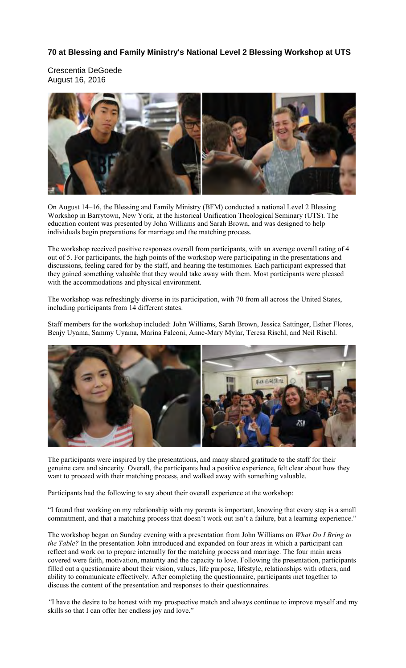## **70 at Blessing and Family Ministry's National Level 2 Blessing Workshop at UTS**

Crescentia DeGoede August 16, 2016



On August 14–16, the Blessing and Family Ministry (BFM) conducted a national Level 2 Blessing Workshop in Barrytown, New York, at the historical Unification Theological Seminary (UTS). The education content was presented by John Williams and Sarah Brown, and was designed to help individuals begin preparations for marriage and the matching process.

The workshop received positive responses overall from participants, with an average overall rating of 4 out of 5. For participants, the high points of the workshop were participating in the presentations and discussions, feeling cared for by the staff, and hearing the testimonies. Each participant expressed that they gained something valuable that they would take away with them. Most participants were pleased with the accommodations and physical environment.

The workshop was refreshingly diverse in its participation, with 70 from all across the United States, including participants from 14 different states.

Staff members for the workshop included: John Williams, Sarah Brown, Jessica Sattinger, Esther Flores, Benjy Uyama, Sammy Uyama, Marina Falconi, Anne-Mary Mylar, Teresa Rischl, and Neil Rischl.



The participants were inspired by the presentations, and many shared gratitude to the staff for their genuine care and sincerity. Overall, the participants had a positive experience, felt clear about how they want to proceed with their matching process, and walked away with something valuable.

Participants had the following to say about their overall experience at the workshop:

"I found that working on my relationship with my parents is important, knowing that every step is a small commitment, and that a matching process that doesn't work out isn't a failure, but a learning experience."

The workshop began on Sunday evening with a presentation from John Williams on *What Do I Bring to the Table?* In the presentation John introduced and expanded on four areas in which a participant can reflect and work on to prepare internally for the matching process and marriage. The four main areas covered were faith, motivation, maturity and the capacity to love. Following the presentation, participants filled out a questionnaire about their vision, values, life purpose, lifestyle, relationships with others, and ability to communicate effectively. After completing the questionnaire, participants met together to discuss the content of the presentation and responses to their questionnaires.

*"*I have the desire to be honest with my prospective match and always continue to improve myself and my skills so that I can offer her endless joy and love."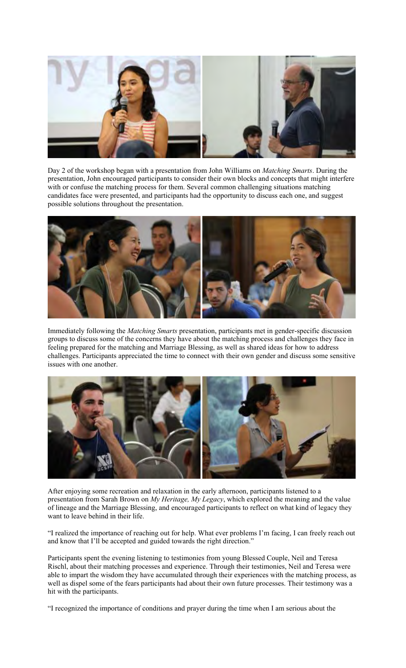

Day 2 of the workshop began with a presentation from John Williams on *Matching Smarts*. During the presentation, John encouraged participants to consider their own blocks and concepts that might interfere with or confuse the matching process for them. Several common challenging situations matching candidates face were presented, and participants had the opportunity to discuss each one, and suggest possible solutions throughout the presentation.



Immediately following the *Matching Smarts* presentation, participants met in gender-specific discussion groups to discuss some of the concerns they have about the matching process and challenges they face in feeling prepared for the matching and Marriage Blessing, as well as shared ideas for how to address challenges. Participants appreciated the time to connect with their own gender and discuss some sensitive issues with one another.



After enjoying some recreation and relaxation in the early afternoon, participants listened to a presentation from Sarah Brown on *My Heritage, My Legacy*, which explored the meaning and the value of lineage and the Marriage Blessing, and encouraged participants to reflect on what kind of legacy they want to leave behind in their life.

"I realized the importance of reaching out for help. What ever problems I'm facing, I can freely reach out and know that I'll be accepted and guided towards the right direction."

Participants spent the evening listening to testimonies from young Blessed Couple, Neil and Teresa Rischl, about their matching processes and experience. Through their testimonies, Neil and Teresa were able to impart the wisdom they have accumulated through their experiences with the matching process, as well as dispel some of the fears participants had about their own future processes. Their testimony was a hit with the participants.

"I recognized the importance of conditions and prayer during the time when I am serious about the